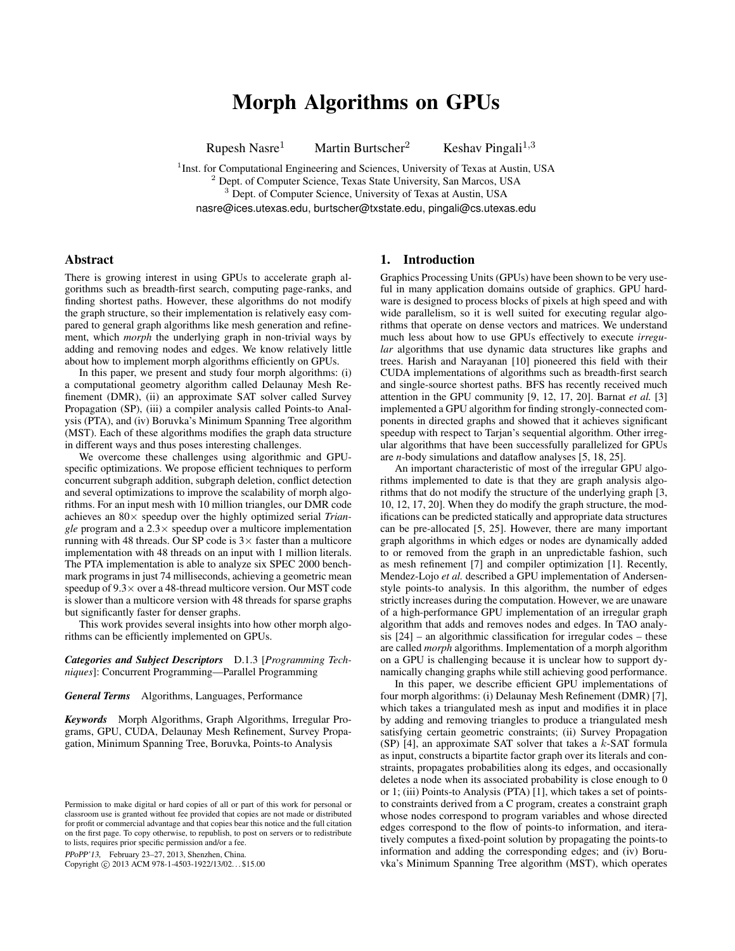# Morph Algorithms on GPUs

Rupesh Nasre<sup>1</sup> Martin Burtscher<sup>2</sup> Keshav Pingali<sup>1,3</sup>

<sup>1</sup>Inst. for Computational Engineering and Sciences, University of Texas at Austin, USA <sup>2</sup> Dept. of Computer Science, Texas State University, San Marcos, USA <sup>3</sup> Dept. of Computer Science, University of Texas at Austin, USA nasre@ices.utexas.edu, burtscher@txstate.edu, pingali@cs.utexas.edu

# Abstract

There is growing interest in using GPUs to accelerate graph algorithms such as breadth-first search, computing page-ranks, and finding shortest paths. However, these algorithms do not modify the graph structure, so their implementation is relatively easy compared to general graph algorithms like mesh generation and refinement, which *morph* the underlying graph in non-trivial ways by adding and removing nodes and edges. We know relatively little about how to implement morph algorithms efficiently on GPUs.

In this paper, we present and study four morph algorithms: (i) a computational geometry algorithm called Delaunay Mesh Refinement (DMR), (ii) an approximate SAT solver called Survey Propagation (SP), (iii) a compiler analysis called Points-to Analysis (PTA), and (iv) Boruvka's Minimum Spanning Tree algorithm (MST). Each of these algorithms modifies the graph data structure in different ways and thus poses interesting challenges.

We overcome these challenges using algorithmic and GPUspecific optimizations. We propose efficient techniques to perform concurrent subgraph addition, subgraph deletion, conflict detection and several optimizations to improve the scalability of morph algorithms. For an input mesh with 10 million triangles, our DMR code achieves an 80× speedup over the highly optimized serial *Triangle* program and a 2.3× speedup over a multicore implementation running with 48 threads. Our SP code is  $3 \times$  faster than a multicore implementation with 48 threads on an input with 1 million literals. The PTA implementation is able to analyze six SPEC 2000 benchmark programs in just 74 milliseconds, achieving a geometric mean speedup of 9.3× over a 48-thread multicore version. Our MST code is slower than a multicore version with 48 threads for sparse graphs but significantly faster for denser graphs.

This work provides several insights into how other morph algorithms can be efficiently implemented on GPUs.

*Categories and Subject Descriptors* D.1.3 [*Programming Techniques*]: Concurrent Programming—Parallel Programming

*General Terms* Algorithms, Languages, Performance

*Keywords* Morph Algorithms, Graph Algorithms, Irregular Programs, GPU, CUDA, Delaunay Mesh Refinement, Survey Propagation, Minimum Spanning Tree, Boruvka, Points-to Analysis

PPoPP'13, February 23–27, 2013, Shenzhen, China.

Copyright © 2013 ACM 978-1-4503-1922/13/02... \$15.00

## 1. Introduction

Graphics Processing Units (GPUs) have been shown to be very useful in many application domains outside of graphics. GPU hardware is designed to process blocks of pixels at high speed and with wide parallelism, so it is well suited for executing regular algorithms that operate on dense vectors and matrices. We understand much less about how to use GPUs effectively to execute *irregular* algorithms that use dynamic data structures like graphs and trees. Harish and Narayanan [10] pioneered this field with their CUDA implementations of algorithms such as breadth-first search and single-source shortest paths. BFS has recently received much attention in the GPU community [9, 12, 17, 20]. Barnat *et al.* [3] implemented a GPU algorithm for finding strongly-connected components in directed graphs and showed that it achieves significant speedup with respect to Tarjan's sequential algorithm. Other irregular algorithms that have been successfully parallelized for GPUs are *n*-body simulations and dataflow analyses [5, 18, 25].

An important characteristic of most of the irregular GPU algorithms implemented to date is that they are graph analysis algorithms that do not modify the structure of the underlying graph [3, 10, 12, 17, 20]. When they do modify the graph structure, the modifications can be predicted statically and appropriate data structures can be pre-allocated [5, 25]. However, there are many important graph algorithms in which edges or nodes are dynamically added to or removed from the graph in an unpredictable fashion, such as mesh refinement [7] and compiler optimization [1]. Recently, Mendez-Lojo *et al.* described a GPU implementation of Andersenstyle points-to analysis. In this algorithm, the number of edges strictly increases during the computation. However, we are unaware of a high-performance GPU implementation of an irregular graph algorithm that adds and removes nodes and edges. In TAO analysis [24] – an algorithmic classification for irregular codes – these are called *morph* algorithms. Implementation of a morph algorithm on a GPU is challenging because it is unclear how to support dynamically changing graphs while still achieving good performance.

In this paper, we describe efficient GPU implementations of four morph algorithms: (i) Delaunay Mesh Refinement (DMR) [7], which takes a triangulated mesh as input and modifies it in place by adding and removing triangles to produce a triangulated mesh satisfying certain geometric constraints; (ii) Survey Propagation (SP) [4], an approximate SAT solver that takes a  $k$ -SAT formula as input, constructs a bipartite factor graph over its literals and constraints, propagates probabilities along its edges, and occasionally deletes a node when its associated probability is close enough to 0 or 1; (iii) Points-to Analysis (PTA) [1], which takes a set of pointsto constraints derived from a C program, creates a constraint graph whose nodes correspond to program variables and whose directed edges correspond to the flow of points-to information, and iteratively computes a fixed-point solution by propagating the points-to information and adding the corresponding edges; and (iv) Boruvka's Minimum Spanning Tree algorithm (MST), which operates

Permission to make digital or hard copies of all or part of this work for personal or classroom use is granted without fee provided that copies are not made or distributed for profit or commercial advantage and that copies bear this notice and the full citation on the first page. To copy otherwise, to republish, to post on servers or to redistribute to lists, requires prior specific permission and/or a fee.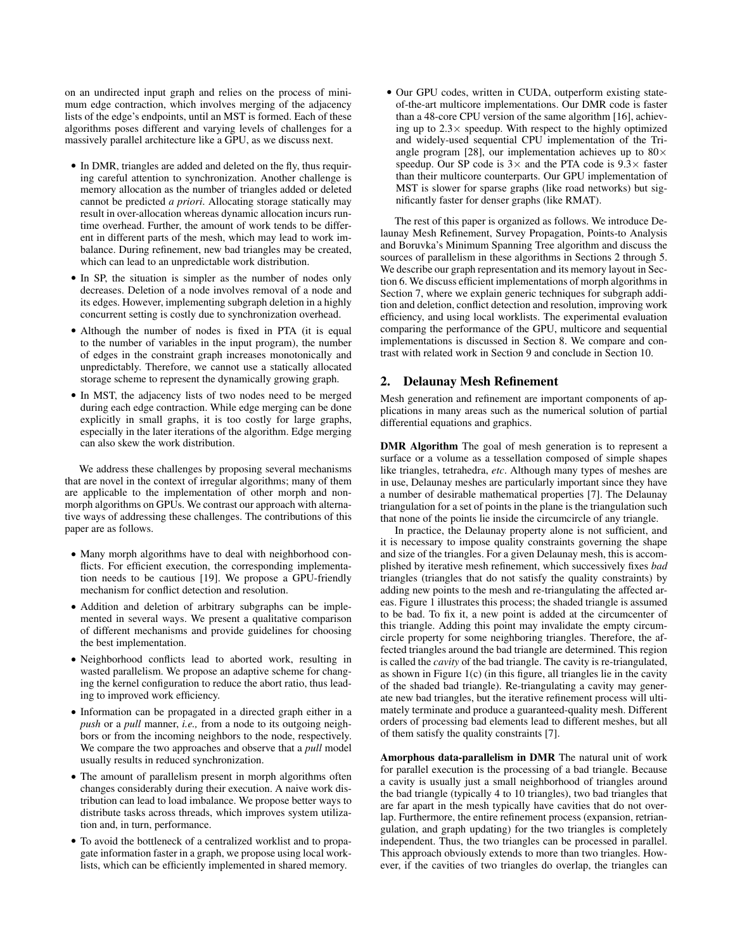on an undirected input graph and relies on the process of minimum edge contraction, which involves merging of the adjacency lists of the edge's endpoints, until an MST is formed. Each of these algorithms poses different and varying levels of challenges for a massively parallel architecture like a GPU, as we discuss next.

- In DMR, triangles are added and deleted on the fly, thus requiring careful attention to synchronization. Another challenge is memory allocation as the number of triangles added or deleted cannot be predicted *a priori*. Allocating storage statically may result in over-allocation whereas dynamic allocation incurs runtime overhead. Further, the amount of work tends to be different in different parts of the mesh, which may lead to work imbalance. During refinement, new bad triangles may be created, which can lead to an unpredictable work distribution.
- In SP, the situation is simpler as the number of nodes only decreases. Deletion of a node involves removal of a node and its edges. However, implementing subgraph deletion in a highly concurrent setting is costly due to synchronization overhead.
- Although the number of nodes is fixed in PTA (it is equal to the number of variables in the input program), the number of edges in the constraint graph increases monotonically and unpredictably. Therefore, we cannot use a statically allocated storage scheme to represent the dynamically growing graph.
- In MST, the adjacency lists of two nodes need to be merged during each edge contraction. While edge merging can be done explicitly in small graphs, it is too costly for large graphs, especially in the later iterations of the algorithm. Edge merging can also skew the work distribution.

We address these challenges by proposing several mechanisms that are novel in the context of irregular algorithms; many of them are applicable to the implementation of other morph and nonmorph algorithms on GPUs. We contrast our approach with alternative ways of addressing these challenges. The contributions of this paper are as follows.

- Many morph algorithms have to deal with neighborhood conflicts. For efficient execution, the corresponding implementation needs to be cautious [19]. We propose a GPU-friendly mechanism for conflict detection and resolution.
- Addition and deletion of arbitrary subgraphs can be implemented in several ways. We present a qualitative comparison of different mechanisms and provide guidelines for choosing the best implementation.
- Neighborhood conflicts lead to aborted work, resulting in wasted parallelism. We propose an adaptive scheme for changing the kernel configuration to reduce the abort ratio, thus leading to improved work efficiency.
- Information can be propagated in a directed graph either in a *push* or a *pull* manner, *i.e.,* from a node to its outgoing neighbors or from the incoming neighbors to the node, respectively. We compare the two approaches and observe that a *pull* model usually results in reduced synchronization.
- The amount of parallelism present in morph algorithms often changes considerably during their execution. A naive work distribution can lead to load imbalance. We propose better ways to distribute tasks across threads, which improves system utilization and, in turn, performance.
- To avoid the bottleneck of a centralized worklist and to propagate information faster in a graph, we propose using local worklists, which can be efficiently implemented in shared memory.

• Our GPU codes, written in CUDA, outperform existing stateof-the-art multicore implementations. Our DMR code is faster than a 48-core CPU version of the same algorithm [16], achieving up to  $2.3 \times$  speedup. With respect to the highly optimized and widely-used sequential CPU implementation of the Triangle program [28], our implementation achieves up to  $80\times$ speedup. Our SP code is  $3 \times$  and the PTA code is  $9.3 \times$  faster than their multicore counterparts. Our GPU implementation of MST is slower for sparse graphs (like road networks) but significantly faster for denser graphs (like RMAT).

The rest of this paper is organized as follows. We introduce Delaunay Mesh Refinement, Survey Propagation, Points-to Analysis and Boruvka's Minimum Spanning Tree algorithm and discuss the sources of parallelism in these algorithms in Sections 2 through 5. We describe our graph representation and its memory layout in Section 6. We discuss efficient implementations of morph algorithms in Section 7, where we explain generic techniques for subgraph addition and deletion, conflict detection and resolution, improving work efficiency, and using local worklists. The experimental evaluation comparing the performance of the GPU, multicore and sequential implementations is discussed in Section 8. We compare and contrast with related work in Section 9 and conclude in Section 10.

# 2. Delaunay Mesh Refinement

Mesh generation and refinement are important components of applications in many areas such as the numerical solution of partial differential equations and graphics.

DMR Algorithm The goal of mesh generation is to represent a surface or a volume as a tessellation composed of simple shapes like triangles, tetrahedra, *etc*. Although many types of meshes are in use, Delaunay meshes are particularly important since they have a number of desirable mathematical properties [7]. The Delaunay triangulation for a set of points in the plane is the triangulation such that none of the points lie inside the circumcircle of any triangle.

In practice, the Delaunay property alone is not sufficient, and it is necessary to impose quality constraints governing the shape and size of the triangles. For a given Delaunay mesh, this is accomplished by iterative mesh refinement, which successively fixes *bad* triangles (triangles that do not satisfy the quality constraints) by adding new points to the mesh and re-triangulating the affected areas. Figure 1 illustrates this process; the shaded triangle is assumed to be bad. To fix it, a new point is added at the circumcenter of this triangle. Adding this point may invalidate the empty circumcircle property for some neighboring triangles. Therefore, the affected triangles around the bad triangle are determined. This region is called the *cavity* of the bad triangle. The cavity is re-triangulated, as shown in Figure 1(c) (in this figure, all triangles lie in the cavity of the shaded bad triangle). Re-triangulating a cavity may generate new bad triangles, but the iterative refinement process will ultimately terminate and produce a guaranteed-quality mesh. Different orders of processing bad elements lead to different meshes, but all of them satisfy the quality constraints [7].

Amorphous data-parallelism in DMR The natural unit of work for parallel execution is the processing of a bad triangle. Because a cavity is usually just a small neighborhood of triangles around the bad triangle (typically 4 to 10 triangles), two bad triangles that are far apart in the mesh typically have cavities that do not overlap. Furthermore, the entire refinement process (expansion, retriangulation, and graph updating) for the two triangles is completely independent. Thus, the two triangles can be processed in parallel. This approach obviously extends to more than two triangles. However, if the cavities of two triangles do overlap, the triangles can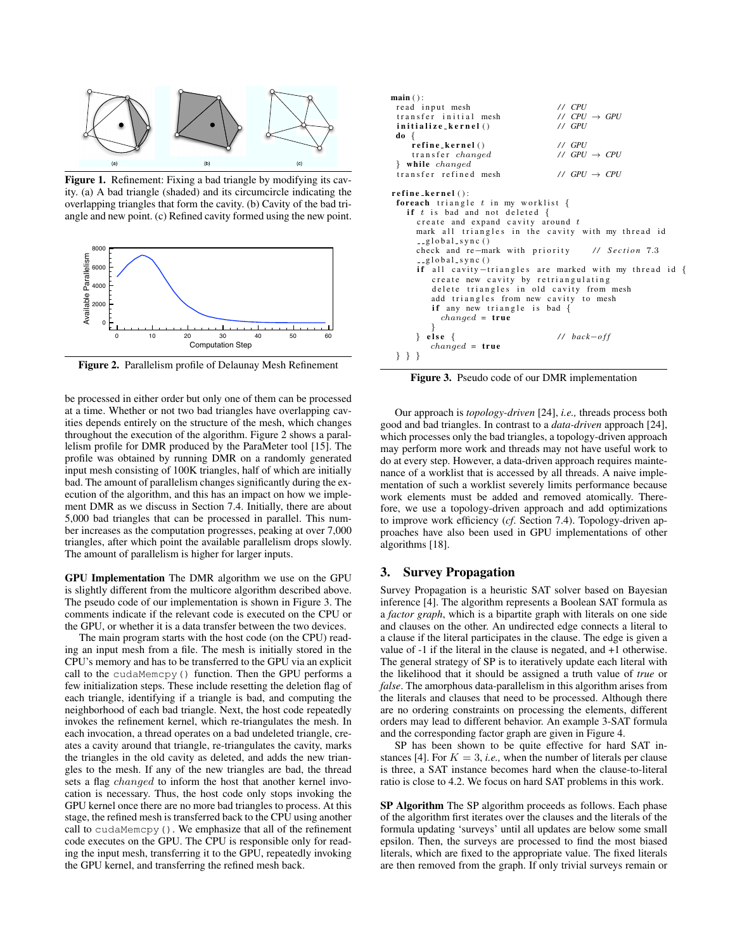

Figure 1. Refinement: Fixing a bad triangle by modifying its cavity. (a) A bad triangle (shaded) and its circumcircle indicating the overlapping triangles that form the cavity. (b) Cavity of the bad triangle and new point. (c) Refined cavity formed using the new point.



Figure 2. Parallelism profile of Delaunay Mesh Refinement

be processed in either order but only one of them can be processed at a time. Whether or not two bad triangles have overlapping cavities depends entirely on the structure of the mesh, which changes throughout the execution of the algorithm. Figure 2 shows a parallelism profile for DMR produced by the ParaMeter tool [15]. The profile was obtained by running DMR on a randomly generated input mesh consisting of 100K triangles, half of which are initially bad. The amount of parallelism changes significantly during the execution of the algorithm, and this has an impact on how we implement DMR as we discuss in Section 7.4. Initially, there are about 5,000 bad triangles that can be processed in parallel. This number increases as the computation progresses, peaking at over 7,000 triangles, after which point the available parallelism drops slowly. The amount of parallelism is higher for larger inputs.

GPU Implementation The DMR algorithm we use on the GPU is slightly different from the multicore algorithm described above. The pseudo code of our implementation is shown in Figure 3. The comments indicate if the relevant code is executed on the CPU or the GPU, or whether it is a data transfer between the two devices.

The main program starts with the host code (on the CPU) reading an input mesh from a file. The mesh is initially stored in the CPU's memory and has to be transferred to the GPU via an explicit call to the cudaMemcpy() function. Then the GPU performs a few initialization steps. These include resetting the deletion flag of each triangle, identifying if a triangle is bad, and computing the neighborhood of each bad triangle. Next, the host code repeatedly invokes the refinement kernel, which re-triangulates the mesh. In each invocation, a thread operates on a bad undeleted triangle, creates a cavity around that triangle, re-triangulates the cavity, marks the triangles in the old cavity as deleted, and adds the new triangles to the mesh. If any of the new triangles are bad, the thread sets a flag changed to inform the host that another kernel invocation is necessary. Thus, the host code only stops invoking the GPU kernel once there are no more bad triangles to process. At this stage, the refined mesh is transferred back to the CPU using another call to cudaMemcpy(). We emphasize that all of the refinement code executes on the GPU. The CPU is responsible only for reading the input mesh, transferring it to the GPU, repeatedly invoking the GPU kernel, and transferring the refined mesh back.

| $main$ $()$ :                                      |                                                                  |
|----------------------------------------------------|------------------------------------------------------------------|
| read input mesh                                    | $11$ CPU                                                         |
| transfer initial mesh                              | // $CPU \rightarrow GPU$                                         |
| initialize_kernel()                                | $11$ GPU                                                         |
| $\mathbf{d}\mathbf{o}$ {                           |                                                                  |
| $refine_kernel()$                                  | $11$ GPU                                                         |
| transfer changed                                   | // $GPU \rightarrow CPU$                                         |
| $\}$ while changed                                 |                                                                  |
| transfer refined mesh                              | // $GPU \rightarrow CPU$                                         |
| $refine_{\text{[kernel]}}()$ :                     |                                                                  |
| <b>foreach</b> triangle $t$ in my worklist {       |                                                                  |
| if $t$ is bad and not deleted {                    |                                                                  |
| create and expand cavity around $t$                |                                                                  |
| mark all triangles in the cavity with my thread id |                                                                  |
| $-$ -global-sync()                                 |                                                                  |
| check and re-mark with priority // Section 7.3     |                                                                  |
| $-$ global $-s$ ync $()$                           |                                                                  |
|                                                    | <b>if</b> all cavity-triangles are marked with my thread id $\{$ |
| create new cavity by retriangulating               |                                                                  |
| delete triangles in old cavity from mesh           |                                                                  |
| add triangles from new cavity to mesh              |                                                                  |
| <b>if</b> any new triangle is bad $\{$             |                                                                  |
| $changed = true$                                   |                                                                  |
| ł                                                  |                                                                  |
| $\}$ else $\{$                                     | $11$ back-off                                                    |
| $changed = true$                                   |                                                                  |
| $\}$ } }                                           |                                                                  |

Figure 3. Pseudo code of our DMR implementation

Our approach is *topology-driven* [24], *i.e.,* threads process both good and bad triangles. In contrast to a *data-driven* approach [24], which processes only the bad triangles, a topology-driven approach may perform more work and threads may not have useful work to do at every step. However, a data-driven approach requires maintenance of a worklist that is accessed by all threads. A naive implementation of such a worklist severely limits performance because work elements must be added and removed atomically. Therefore, we use a topology-driven approach and add optimizations to improve work efficiency (*cf*. Section 7.4). Topology-driven approaches have also been used in GPU implementations of other algorithms [18].

# 3. Survey Propagation

Survey Propagation is a heuristic SAT solver based on Bayesian inference [4]. The algorithm represents a Boolean SAT formula as a *factor graph*, which is a bipartite graph with literals on one side and clauses on the other. An undirected edge connects a literal to a clause if the literal participates in the clause. The edge is given a value of -1 if the literal in the clause is negated, and +1 otherwise. The general strategy of SP is to iteratively update each literal with the likelihood that it should be assigned a truth value of *true* or *false*. The amorphous data-parallelism in this algorithm arises from the literals and clauses that need to be processed. Although there are no ordering constraints on processing the elements, different orders may lead to different behavior. An example 3-SAT formula and the corresponding factor graph are given in Figure 4.

SP has been shown to be quite effective for hard SAT instances [4]. For  $K = 3$ , *i.e.*, when the number of literals per clause is three, a SAT instance becomes hard when the clause-to-literal ratio is close to 4.2. We focus on hard SAT problems in this work.

SP Algorithm The SP algorithm proceeds as follows. Each phase of the algorithm first iterates over the clauses and the literals of the formula updating 'surveys' until all updates are below some small epsilon. Then, the surveys are processed to find the most biased literals, which are fixed to the appropriate value. The fixed literals are then removed from the graph. If only trivial surveys remain or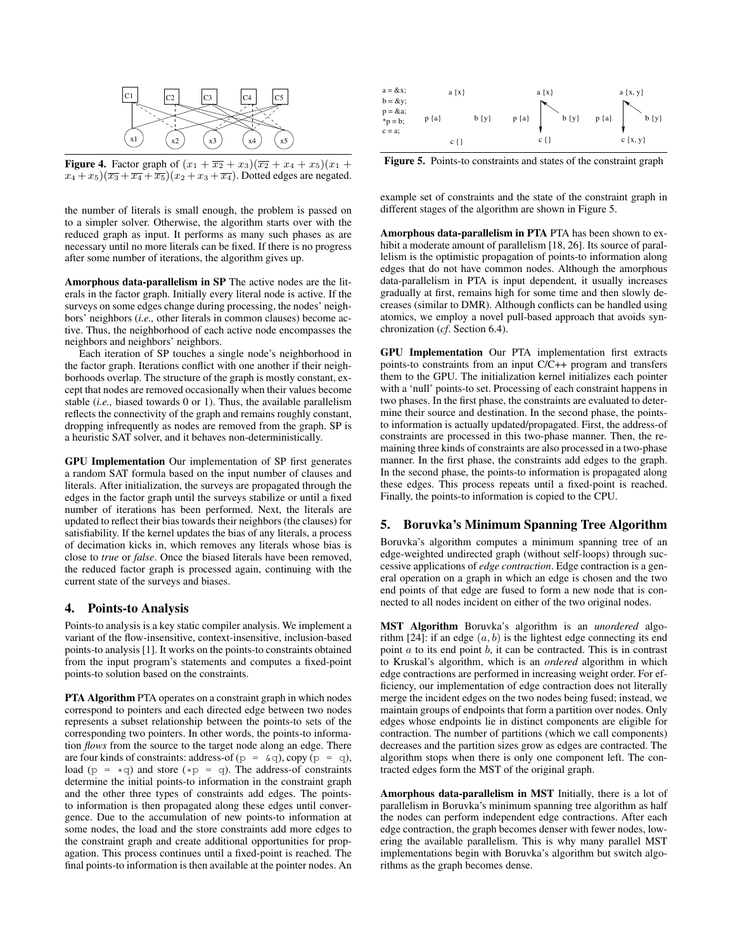

Figure 4. Factor graph of  $(x_1 + \overline{x_2} + x_3)(\overline{x_2} + x_4 + x_5)(x_1 +$  $x_4 + x_5(\overline{x_3} + \overline{x_4} + \overline{x_5})(x_2 + x_3 + \overline{x_4})$ . Dotted edges are negated.

the number of literals is small enough, the problem is passed on to a simpler solver. Otherwise, the algorithm starts over with the reduced graph as input. It performs as many such phases as are necessary until no more literals can be fixed. If there is no progress after some number of iterations, the algorithm gives up.

Amorphous data-parallelism in SP The active nodes are the literals in the factor graph. Initially every literal node is active. If the surveys on some edges change during processing, the nodes' neighbors' neighbors (*i.e.,* other literals in common clauses) become active. Thus, the neighborhood of each active node encompasses the neighbors and neighbors' neighbors.

Each iteration of SP touches a single node's neighborhood in the factor graph. Iterations conflict with one another if their neighborhoods overlap. The structure of the graph is mostly constant, except that nodes are removed occasionally when their values become stable (*i.e.,* biased towards 0 or 1). Thus, the available parallelism reflects the connectivity of the graph and remains roughly constant, dropping infrequently as nodes are removed from the graph. SP is a heuristic SAT solver, and it behaves non-deterministically.

GPU Implementation Our implementation of SP first generates a random SAT formula based on the input number of clauses and literals. After initialization, the surveys are propagated through the edges in the factor graph until the surveys stabilize or until a fixed number of iterations has been performed. Next, the literals are updated to reflect their bias towards their neighbors (the clauses) for satisfiability. If the kernel updates the bias of any literals, a process of decimation kicks in, which removes any literals whose bias is close to *true* or *false*. Once the biased literals have been removed, the reduced factor graph is processed again, continuing with the current state of the surveys and biases.

# 4. Points-to Analysis

Points-to analysis is a key static compiler analysis. We implement a variant of the flow-insensitive, context-insensitive, inclusion-based points-to analysis [1]. It works on the points-to constraints obtained from the input program's statements and computes a fixed-point points-to solution based on the constraints.

PTA Algorithm PTA operates on a constraint graph in which nodes correspond to pointers and each directed edge between two nodes represents a subset relationship between the points-to sets of the corresponding two pointers. In other words, the points-to information *flows* from the source to the target node along an edge. There are four kinds of constraints: address-of (p =  $\alpha$ q), copy (p = q), load (p =  $\star$ q) and store ( $\star$ p = q). The address-of constraints determine the initial points-to information in the constraint graph and the other three types of constraints add edges. The pointsto information is then propagated along these edges until convergence. Due to the accumulation of new points-to information at some nodes, the load and the store constraints add more edges to the constraint graph and create additional opportunities for propagation. This process continues until a fixed-point is reached. The final points-to information is then available at the pointer nodes. An



Figure 5. Points-to constraints and states of the constraint graph

example set of constraints and the state of the constraint graph in different stages of the algorithm are shown in Figure 5.

Amorphous data-parallelism in PTA PTA has been shown to exhibit a moderate amount of parallelism [18, 26]. Its source of parallelism is the optimistic propagation of points-to information along edges that do not have common nodes. Although the amorphous data-parallelism in PTA is input dependent, it usually increases gradually at first, remains high for some time and then slowly decreases (similar to DMR). Although conflicts can be handled using atomics, we employ a novel pull-based approach that avoids synchronization (*cf*. Section 6.4).

GPU Implementation Our PTA implementation first extracts points-to constraints from an input C/C++ program and transfers them to the GPU. The initialization kernel initializes each pointer with a 'null' points-to set. Processing of each constraint happens in two phases. In the first phase, the constraints are evaluated to determine their source and destination. In the second phase, the pointsto information is actually updated/propagated. First, the address-of constraints are processed in this two-phase manner. Then, the remaining three kinds of constraints are also processed in a two-phase manner. In the first phase, the constraints add edges to the graph. In the second phase, the points-to information is propagated along these edges. This process repeats until a fixed-point is reached. Finally, the points-to information is copied to the CPU.

# 5. Boruvka's Minimum Spanning Tree Algorithm

Boruvka's algorithm computes a minimum spanning tree of an edge-weighted undirected graph (without self-loops) through successive applications of *edge contraction*. Edge contraction is a general operation on a graph in which an edge is chosen and the two end points of that edge are fused to form a new node that is connected to all nodes incident on either of the two original nodes.

MST Algorithm Boruvka's algorithm is an *unordered* algorithm [24]: if an edge  $(a, b)$  is the lightest edge connecting its end point  $a$  to its end point  $b$ , it can be contracted. This is in contrast to Kruskal's algorithm, which is an *ordered* algorithm in which edge contractions are performed in increasing weight order. For efficiency, our implementation of edge contraction does not literally merge the incident edges on the two nodes being fused; instead, we maintain groups of endpoints that form a partition over nodes. Only edges whose endpoints lie in distinct components are eligible for contraction. The number of partitions (which we call components) decreases and the partition sizes grow as edges are contracted. The algorithm stops when there is only one component left. The contracted edges form the MST of the original graph.

Amorphous data-parallelism in MST Initially, there is a lot of parallelism in Boruvka's minimum spanning tree algorithm as half the nodes can perform independent edge contractions. After each edge contraction, the graph becomes denser with fewer nodes, lowering the available parallelism. This is why many parallel MST implementations begin with Boruvka's algorithm but switch algorithms as the graph becomes dense.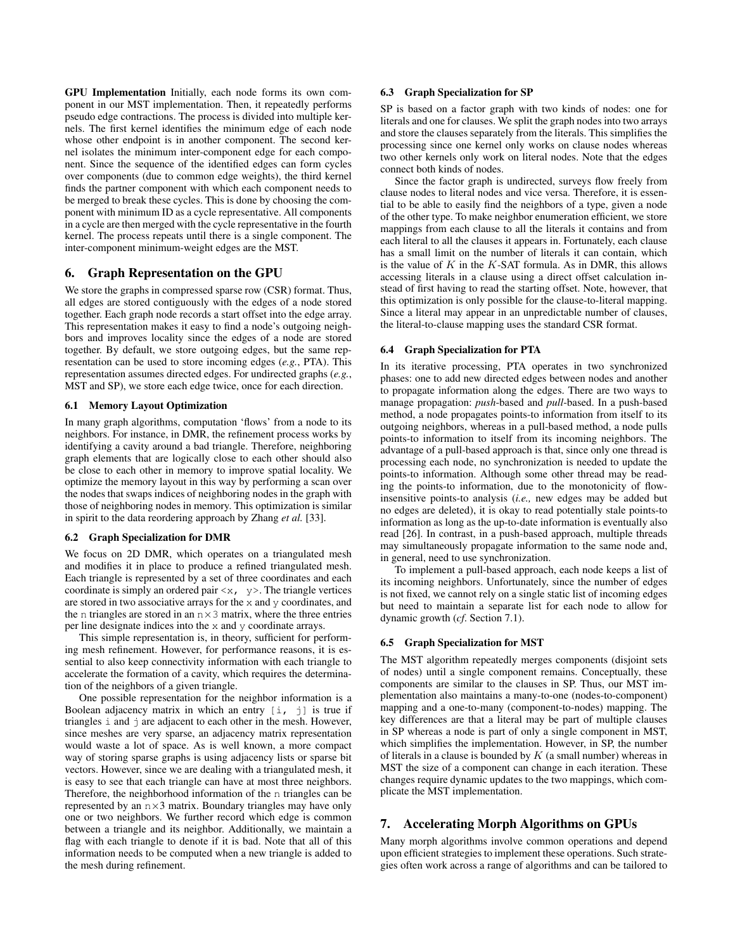GPU Implementation Initially, each node forms its own component in our MST implementation. Then, it repeatedly performs pseudo edge contractions. The process is divided into multiple kernels. The first kernel identifies the minimum edge of each node whose other endpoint is in another component. The second kernel isolates the minimum inter-component edge for each component. Since the sequence of the identified edges can form cycles over components (due to common edge weights), the third kernel finds the partner component with which each component needs to be merged to break these cycles. This is done by choosing the component with minimum ID as a cycle representative. All components in a cycle are then merged with the cycle representative in the fourth kernel. The process repeats until there is a single component. The inter-component minimum-weight edges are the MST.

# 6. Graph Representation on the GPU

We store the graphs in compressed sparse row (CSR) format. Thus, all edges are stored contiguously with the edges of a node stored together. Each graph node records a start offset into the edge array. This representation makes it easy to find a node's outgoing neighbors and improves locality since the edges of a node are stored together. By default, we store outgoing edges, but the same representation can be used to store incoming edges (*e.g.*, PTA). This representation assumes directed edges. For undirected graphs (*e.g.*, MST and SP), we store each edge twice, once for each direction.

#### 6.1 Memory Layout Optimization

In many graph algorithms, computation 'flows' from a node to its neighbors. For instance, in DMR, the refinement process works by identifying a cavity around a bad triangle. Therefore, neighboring graph elements that are logically close to each other should also be close to each other in memory to improve spatial locality. We optimize the memory layout in this way by performing a scan over the nodes that swaps indices of neighboring nodes in the graph with those of neighboring nodes in memory. This optimization is similar in spirit to the data reordering approach by Zhang *et al.* [33].

#### 6.2 Graph Specialization for DMR

We focus on 2D DMR, which operates on a triangulated mesh and modifies it in place to produce a refined triangulated mesh. Each triangle is represented by a set of three coordinates and each coordinate is simply an ordered pair  $\langle x, y \rangle$ . The triangle vertices are stored in two associative arrays for the x and y coordinates, and the n triangles are stored in an  $n \times 3$  matrix, where the three entries per line designate indices into the x and y coordinate arrays.

This simple representation is, in theory, sufficient for performing mesh refinement. However, for performance reasons, it is essential to also keep connectivity information with each triangle to accelerate the formation of a cavity, which requires the determination of the neighbors of a given triangle.

One possible representation for the neighbor information is a Boolean adjacency matrix in which an entry  $[i, j]$  is true if triangles  $\pm$  and  $\pm$  are adjacent to each other in the mesh. However, since meshes are very sparse, an adjacency matrix representation would waste a lot of space. As is well known, a more compact way of storing sparse graphs is using adjacency lists or sparse bit vectors. However, since we are dealing with a triangulated mesh, it is easy to see that each triangle can have at most three neighbors. Therefore, the neighborhood information of the n triangles can be represented by an  $n \times 3$  matrix. Boundary triangles may have only one or two neighbors. We further record which edge is common between a triangle and its neighbor. Additionally, we maintain a flag with each triangle to denote if it is bad. Note that all of this information needs to be computed when a new triangle is added to the mesh during refinement.

## 6.3 Graph Specialization for SP

SP is based on a factor graph with two kinds of nodes: one for literals and one for clauses. We split the graph nodes into two arrays and store the clauses separately from the literals. This simplifies the processing since one kernel only works on clause nodes whereas two other kernels only work on literal nodes. Note that the edges connect both kinds of nodes.

Since the factor graph is undirected, surveys flow freely from clause nodes to literal nodes and vice versa. Therefore, it is essential to be able to easily find the neighbors of a type, given a node of the other type. To make neighbor enumeration efficient, we store mappings from each clause to all the literals it contains and from each literal to all the clauses it appears in. Fortunately, each clause has a small limit on the number of literals it can contain, which is the value of  $K$  in the  $K$ -SAT formula. As in DMR, this allows accessing literals in a clause using a direct offset calculation instead of first having to read the starting offset. Note, however, that this optimization is only possible for the clause-to-literal mapping. Since a literal may appear in an unpredictable number of clauses, the literal-to-clause mapping uses the standard CSR format.

# 6.4 Graph Specialization for PTA

In its iterative processing, PTA operates in two synchronized phases: one to add new directed edges between nodes and another to propagate information along the edges. There are two ways to manage propagation: *push*-based and *pull*-based. In a push-based method, a node propagates points-to information from itself to its outgoing neighbors, whereas in a pull-based method, a node pulls points-to information to itself from its incoming neighbors. The advantage of a pull-based approach is that, since only one thread is processing each node, no synchronization is needed to update the points-to information. Although some other thread may be reading the points-to information, due to the monotonicity of flowinsensitive points-to analysis (*i.e.,* new edges may be added but no edges are deleted), it is okay to read potentially stale points-to information as long as the up-to-date information is eventually also read [26]. In contrast, in a push-based approach, multiple threads may simultaneously propagate information to the same node and, in general, need to use synchronization.

To implement a pull-based approach, each node keeps a list of its incoming neighbors. Unfortunately, since the number of edges is not fixed, we cannot rely on a single static list of incoming edges but need to maintain a separate list for each node to allow for dynamic growth (*cf*. Section 7.1).

#### 6.5 Graph Specialization for MST

The MST algorithm repeatedly merges components (disjoint sets of nodes) until a single component remains. Conceptually, these components are similar to the clauses in SP. Thus, our MST implementation also maintains a many-to-one (nodes-to-component) mapping and a one-to-many (component-to-nodes) mapping. The key differences are that a literal may be part of multiple clauses in SP whereas a node is part of only a single component in MST, which simplifies the implementation. However, in SP, the number of literals in a clause is bounded by  $K$  (a small number) whereas in MST the size of a component can change in each iteration. These changes require dynamic updates to the two mappings, which complicate the MST implementation.

# 7. Accelerating Morph Algorithms on GPUs

Many morph algorithms involve common operations and depend upon efficient strategies to implement these operations. Such strategies often work across a range of algorithms and can be tailored to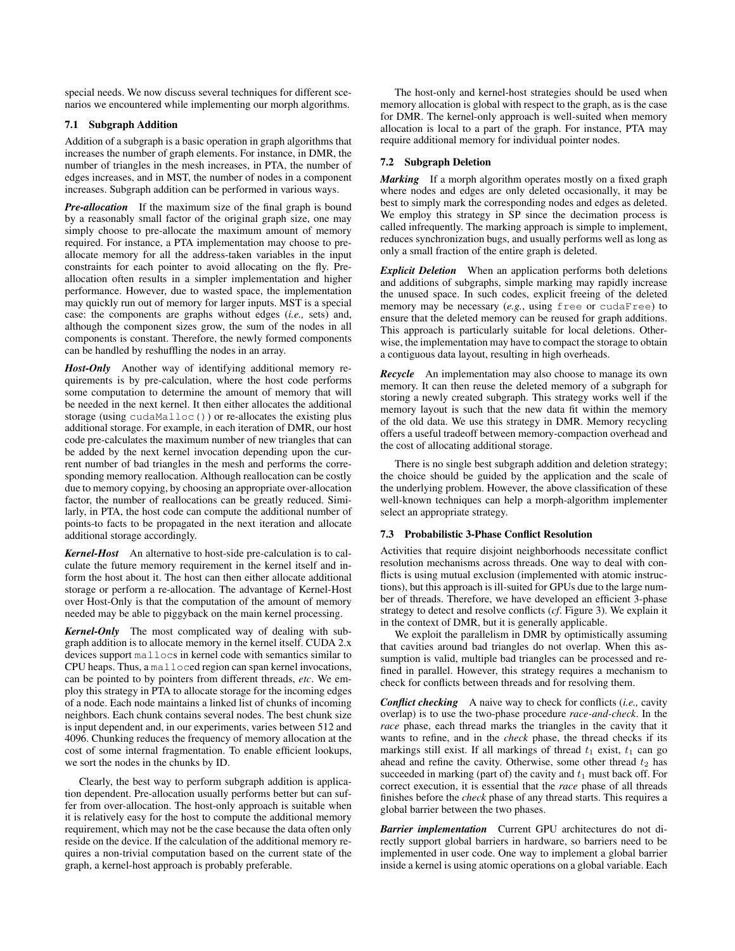special needs. We now discuss several techniques for different scenarios we encountered while implementing our morph algorithms.

# 7.1 Subgraph Addition

Addition of a subgraph is a basic operation in graph algorithms that increases the number of graph elements. For instance, in DMR, the number of triangles in the mesh increases, in PTA, the number of edges increases, and in MST, the number of nodes in a component increases. Subgraph addition can be performed in various ways.

*Pre-allocation* If the maximum size of the final graph is bound by a reasonably small factor of the original graph size, one may simply choose to pre-allocate the maximum amount of memory required. For instance, a PTA implementation may choose to preallocate memory for all the address-taken variables in the input constraints for each pointer to avoid allocating on the fly. Preallocation often results in a simpler implementation and higher performance. However, due to wasted space, the implementation may quickly run out of memory for larger inputs. MST is a special case: the components are graphs without edges (*i.e.,* sets) and, although the component sizes grow, the sum of the nodes in all components is constant. Therefore, the newly formed components can be handled by reshuffling the nodes in an array.

*Host-Only* Another way of identifying additional memory requirements is by pre-calculation, where the host code performs some computation to determine the amount of memory that will be needed in the next kernel. It then either allocates the additional storage (using cudaMalloc()) or re-allocates the existing plus additional storage. For example, in each iteration of DMR, our host code pre-calculates the maximum number of new triangles that can be added by the next kernel invocation depending upon the current number of bad triangles in the mesh and performs the corresponding memory reallocation. Although reallocation can be costly due to memory copying, by choosing an appropriate over-allocation factor, the number of reallocations can be greatly reduced. Similarly, in PTA, the host code can compute the additional number of points-to facts to be propagated in the next iteration and allocate additional storage accordingly.

*Kernel-Host* An alternative to host-side pre-calculation is to calculate the future memory requirement in the kernel itself and inform the host about it. The host can then either allocate additional storage or perform a re-allocation. The advantage of Kernel-Host over Host-Only is that the computation of the amount of memory needed may be able to piggyback on the main kernel processing.

*Kernel-Only* The most complicated way of dealing with subgraph addition is to allocate memory in the kernel itself. CUDA 2.x devices support mallocs in kernel code with semantics similar to CPU heaps. Thus, a malloced region can span kernel invocations, can be pointed to by pointers from different threads, *etc*. We employ this strategy in PTA to allocate storage for the incoming edges of a node. Each node maintains a linked list of chunks of incoming neighbors. Each chunk contains several nodes. The best chunk size is input dependent and, in our experiments, varies between 512 and 4096. Chunking reduces the frequency of memory allocation at the cost of some internal fragmentation. To enable efficient lookups, we sort the nodes in the chunks by ID.

Clearly, the best way to perform subgraph addition is application dependent. Pre-allocation usually performs better but can suffer from over-allocation. The host-only approach is suitable when it is relatively easy for the host to compute the additional memory requirement, which may not be the case because the data often only reside on the device. If the calculation of the additional memory requires a non-trivial computation based on the current state of the graph, a kernel-host approach is probably preferable.

The host-only and kernel-host strategies should be used when memory allocation is global with respect to the graph, as is the case for DMR. The kernel-only approach is well-suited when memory allocation is local to a part of the graph. For instance, PTA may require additional memory for individual pointer nodes.

# 7.2 Subgraph Deletion

*Marking* If a morph algorithm operates mostly on a fixed graph where nodes and edges are only deleted occasionally, it may be best to simply mark the corresponding nodes and edges as deleted. We employ this strategy in SP since the decimation process is called infrequently. The marking approach is simple to implement, reduces synchronization bugs, and usually performs well as long as only a small fraction of the entire graph is deleted.

*Explicit Deletion* When an application performs both deletions and additions of subgraphs, simple marking may rapidly increase the unused space. In such codes, explicit freeing of the deleted memory may be necessary (*e.g.*, using free or cudaFree) to ensure that the deleted memory can be reused for graph additions. This approach is particularly suitable for local deletions. Otherwise, the implementation may have to compact the storage to obtain a contiguous data layout, resulting in high overheads.

*Recycle* An implementation may also choose to manage its own memory. It can then reuse the deleted memory of a subgraph for storing a newly created subgraph. This strategy works well if the memory layout is such that the new data fit within the memory of the old data. We use this strategy in DMR. Memory recycling offers a useful tradeoff between memory-compaction overhead and the cost of allocating additional storage.

There is no single best subgraph addition and deletion strategy; the choice should be guided by the application and the scale of the underlying problem. However, the above classification of these well-known techniques can help a morph-algorithm implementer select an appropriate strategy.

#### 7.3 Probabilistic 3-Phase Conflict Resolution

Activities that require disjoint neighborhoods necessitate conflict resolution mechanisms across threads. One way to deal with conflicts is using mutual exclusion (implemented with atomic instructions), but this approach is ill-suited for GPUs due to the large number of threads. Therefore, we have developed an efficient 3-phase strategy to detect and resolve conflicts (*cf*. Figure 3). We explain it in the context of DMR, but it is generally applicable.

We exploit the parallelism in DMR by optimistically assuming that cavities around bad triangles do not overlap. When this assumption is valid, multiple bad triangles can be processed and refined in parallel. However, this strategy requires a mechanism to check for conflicts between threads and for resolving them.

*Conflict checking* A naive way to check for conflicts (*i.e.,* cavity overlap) is to use the two-phase procedure *race-and-check*. In the *race* phase, each thread marks the triangles in the cavity that it wants to refine, and in the *check* phase, the thread checks if its markings still exist. If all markings of thread  $t_1$  exist,  $t_1$  can go ahead and refine the cavity. Otherwise, some other thread  $t_2$  has succeeded in marking (part of) the cavity and  $t_1$  must back off. For correct execution, it is essential that the *race* phase of all threads finishes before the *check* phase of any thread starts. This requires a global barrier between the two phases.

*Barrier implementation* Current GPU architectures do not directly support global barriers in hardware, so barriers need to be implemented in user code. One way to implement a global barrier inside a kernel is using atomic operations on a global variable. Each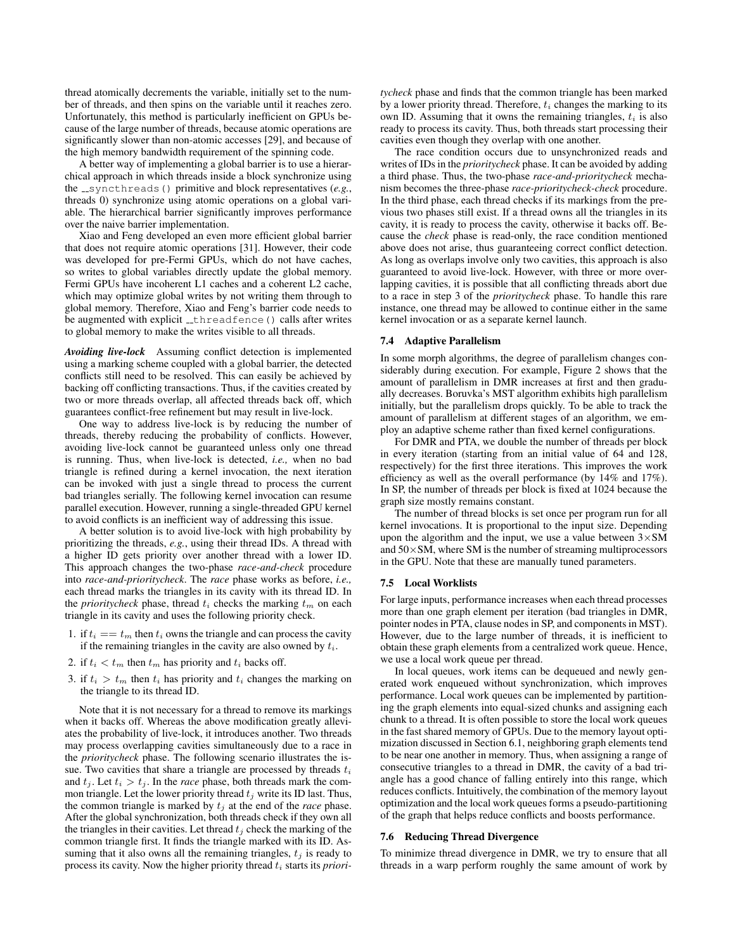thread atomically decrements the variable, initially set to the number of threads, and then spins on the variable until it reaches zero. Unfortunately, this method is particularly inefficient on GPUs because of the large number of threads, because atomic operations are significantly slower than non-atomic accesses [29], and because of the high memory bandwidth requirement of the spinning code.

A better way of implementing a global barrier is to use a hierarchical approach in which threads inside a block synchronize using the \_syncthreads() primitive and block representatives (*e.g.*, threads 0) synchronize using atomic operations on a global variable. The hierarchical barrier significantly improves performance over the naive barrier implementation.

Xiao and Feng developed an even more efficient global barrier that does not require atomic operations [31]. However, their code was developed for pre-Fermi GPUs, which do not have caches, so writes to global variables directly update the global memory. Fermi GPUs have incoherent L1 caches and a coherent L2 cache, which may optimize global writes by not writing them through to global memory. Therefore, Xiao and Feng's barrier code needs to be augmented with explicit \_threadfence() calls after writes to global memory to make the writes visible to all threads.

*Avoiding live-lock* Assuming conflict detection is implemented using a marking scheme coupled with a global barrier, the detected conflicts still need to be resolved. This can easily be achieved by backing off conflicting transactions. Thus, if the cavities created by two or more threads overlap, all affected threads back off, which guarantees conflict-free refinement but may result in live-lock.

One way to address live-lock is by reducing the number of threads, thereby reducing the probability of conflicts. However, avoiding live-lock cannot be guaranteed unless only one thread is running. Thus, when live-lock is detected, *i.e.,* when no bad triangle is refined during a kernel invocation, the next iteration can be invoked with just a single thread to process the current bad triangles serially. The following kernel invocation can resume parallel execution. However, running a single-threaded GPU kernel to avoid conflicts is an inefficient way of addressing this issue.

A better solution is to avoid live-lock with high probability by prioritizing the threads, *e.g.*, using their thread IDs. A thread with a higher ID gets priority over another thread with a lower ID. This approach changes the two-phase *race-and-check* procedure into *race-and-prioritycheck*. The *race* phase works as before, *i.e.,* each thread marks the triangles in its cavity with its thread ID. In the *prioritycheck* phase, thread  $t_i$  checks the marking  $t_m$  on each triangle in its cavity and uses the following priority check.

- 1. if  $t_i == t_m$  then  $t_i$  owns the triangle and can process the cavity if the remaining triangles in the cavity are also owned by  $t_i$ .
- 2. if  $t_i < t_m$  then  $t_m$  has priority and  $t_i$  backs off.
- 3. if  $t_i > t_m$  then  $t_i$  has priority and  $t_i$  changes the marking on the triangle to its thread ID.

Note that it is not necessary for a thread to remove its markings when it backs off. Whereas the above modification greatly alleviates the probability of live-lock, it introduces another. Two threads may process overlapping cavities simultaneously due to a race in the *prioritycheck* phase. The following scenario illustrates the issue. Two cavities that share a triangle are processed by threads  $t_i$ and  $t_i$ . Let  $t_i > t_j$ . In the *race* phase, both threads mark the common triangle. Let the lower priority thread  $t_j$  write its ID last. Thus, the common triangle is marked by  $t_j$  at the end of the *race* phase. After the global synchronization, both threads check if they own all the triangles in their cavities. Let thread  $t_j$  check the marking of the common triangle first. It finds the triangle marked with its ID. Assuming that it also owns all the remaining triangles,  $t_i$  is ready to process its cavity. Now the higher priority thread  $t_i$  starts its *priori*- *tycheck* phase and finds that the common triangle has been marked by a lower priority thread. Therefore,  $t_i$  changes the marking to its own ID. Assuming that it owns the remaining triangles,  $t_i$  is also ready to process its cavity. Thus, both threads start processing their cavities even though they overlap with one another.

The race condition occurs due to unsynchronized reads and writes of IDs in the *prioritycheck* phase. It can be avoided by adding a third phase. Thus, the two-phase *race-and-prioritycheck* mechanism becomes the three-phase *race-prioritycheck-check* procedure. In the third phase, each thread checks if its markings from the previous two phases still exist. If a thread owns all the triangles in its cavity, it is ready to process the cavity, otherwise it backs off. Because the *check* phase is read-only, the race condition mentioned above does not arise, thus guaranteeing correct conflict detection. As long as overlaps involve only two cavities, this approach is also guaranteed to avoid live-lock. However, with three or more overlapping cavities, it is possible that all conflicting threads abort due to a race in step 3 of the *prioritycheck* phase. To handle this rare instance, one thread may be allowed to continue either in the same kernel invocation or as a separate kernel launch.

#### 7.4 Adaptive Parallelism

In some morph algorithms, the degree of parallelism changes considerably during execution. For example, Figure 2 shows that the amount of parallelism in DMR increases at first and then gradually decreases. Boruvka's MST algorithm exhibits high parallelism initially, but the parallelism drops quickly. To be able to track the amount of parallelism at different stages of an algorithm, we employ an adaptive scheme rather than fixed kernel configurations.

For DMR and PTA, we double the number of threads per block in every iteration (starting from an initial value of 64 and 128, respectively) for the first three iterations. This improves the work efficiency as well as the overall performance (by 14% and 17%). In SP, the number of threads per block is fixed at 1024 because the graph size mostly remains constant.

The number of thread blocks is set once per program run for all kernel invocations. It is proportional to the input size. Depending upon the algorithm and the input, we use a value between  $3 \times SM$ and  $50\times$ SM, where SM is the number of streaming multiprocessors in the GPU. Note that these are manually tuned parameters.

## 7.5 Local Worklists

For large inputs, performance increases when each thread processes more than one graph element per iteration (bad triangles in DMR, pointer nodes in PTA, clause nodes in SP, and components in MST). However, due to the large number of threads, it is inefficient to obtain these graph elements from a centralized work queue. Hence, we use a local work queue per thread.

In local queues, work items can be dequeued and newly generated work enqueued without synchronization, which improves performance. Local work queues can be implemented by partitioning the graph elements into equal-sized chunks and assigning each chunk to a thread. It is often possible to store the local work queues in the fast shared memory of GPUs. Due to the memory layout optimization discussed in Section 6.1, neighboring graph elements tend to be near one another in memory. Thus, when assigning a range of consecutive triangles to a thread in DMR, the cavity of a bad triangle has a good chance of falling entirely into this range, which reduces conflicts. Intuitively, the combination of the memory layout optimization and the local work queues forms a pseudo-partitioning of the graph that helps reduce conflicts and boosts performance.

#### 7.6 Reducing Thread Divergence

To minimize thread divergence in DMR, we try to ensure that all threads in a warp perform roughly the same amount of work by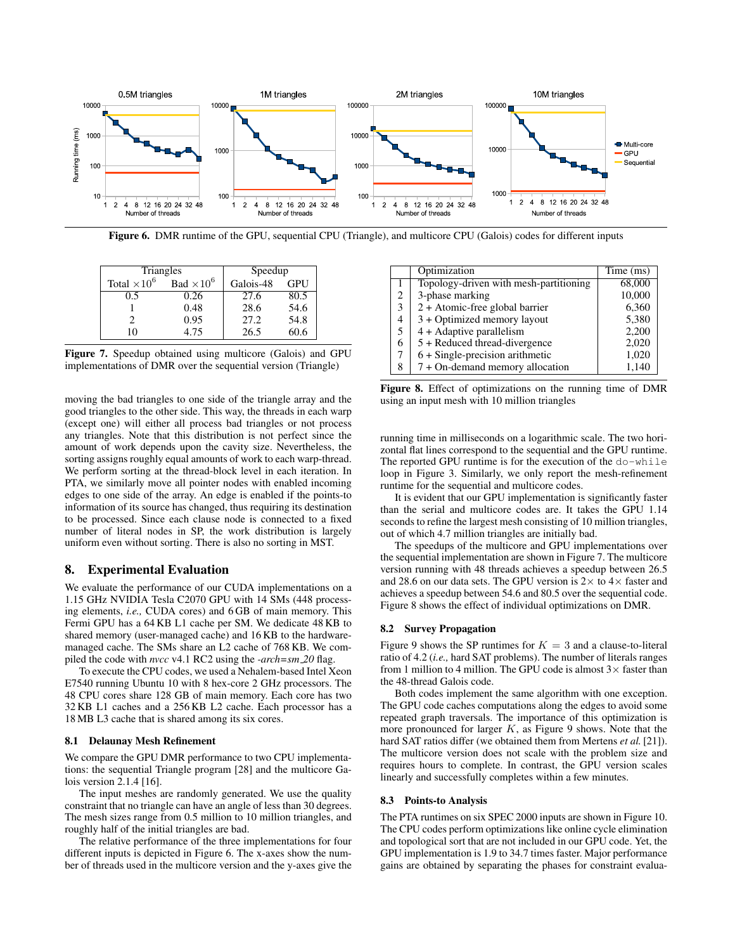

Figure 6. DMR runtime of the GPU, sequential CPU (Triangle), and multicore CPU (Galois) codes for different inputs

| Triangles           |                   | Speedup   |      |  |
|---------------------|-------------------|-----------|------|--|
| Total $\times 10^6$ | Bad $\times 10^6$ | Galois-48 | GPU  |  |
| 0.5                 | 0.26              | 27.6      | 80.5 |  |
|                     | 0.48              | 28.6      | 54.6 |  |
|                     | 0.95              | 27.2      | 54.8 |  |
| 10                  | 4.75              | 26.5      | 60.6 |  |

Figure 7. Speedup obtained using multicore (Galois) and GPU implementations of DMR over the sequential version (Triangle)

moving the bad triangles to one side of the triangle array and the good triangles to the other side. This way, the threads in each warp (except one) will either all process bad triangles or not process any triangles. Note that this distribution is not perfect since the amount of work depends upon the cavity size. Nevertheless, the sorting assigns roughly equal amounts of work to each warp-thread. We perform sorting at the thread-block level in each iteration. In PTA, we similarly move all pointer nodes with enabled incoming edges to one side of the array. An edge is enabled if the points-to information of its source has changed, thus requiring its destination to be processed. Since each clause node is connected to a fixed number of literal nodes in SP, the work distribution is largely uniform even without sorting. There is also no sorting in MST.

# 8. Experimental Evaluation

We evaluate the performance of our CUDA implementations on a 1.15 GHz NVIDIA Tesla C2070 GPU with 14 SMs (448 processing elements, *i.e.,* CUDA cores) and 6 GB of main memory. This Fermi GPU has a 64 KB L1 cache per SM. We dedicate 48 KB to shared memory (user-managed cache) and 16 KB to the hardwaremanaged cache. The SMs share an L2 cache of 768 KB. We compiled the code with *nvcc* v4.1 RC2 using the *-arch=sm 20* flag.

To execute the CPU codes, we used a Nehalem-based Intel Xeon E7540 running Ubuntu 10 with 8 hex-core 2 GHz processors. The 48 CPU cores share 128 GB of main memory. Each core has two 32 KB L1 caches and a 256 KB L2 cache. Each processor has a 18 MB L3 cache that is shared among its six cores.

#### 8.1 Delaunay Mesh Refinement

We compare the GPU DMR performance to two CPU implementations: the sequential Triangle program [28] and the multicore Galois version 2.1.4 [16].

The input meshes are randomly generated. We use the quality constraint that no triangle can have an angle of less than 30 degrees. The mesh sizes range from 0.5 million to 10 million triangles, and roughly half of the initial triangles are bad.

The relative performance of the three implementations for four different inputs is depicted in Figure 6. The x-axes show the number of threads used in the multicore version and the y-axes give the

|   | Optimization                           | Time (ms) |
|---|----------------------------------------|-----------|
|   | Topology-driven with mesh-partitioning | 68,000    |
| 2 | 3-phase marking                        | 10,000    |
| 3 | 2 + Atomic-free global barrier         | 6,360     |
| 4 | $3 + Optimized$ memory layout          | 5,380     |
| 5 | $4 +$ Adaptive parallelism             | 2,200     |
| 6 | 5 + Reduced thread-divergence          | 2,020     |
| 7 | $6 +$ Single-precision arithmetic      | 1,020     |
| 8 | $7 +$ On-demand memory allocation      | 1,140     |

Figure 8. Effect of optimizations on the running time of DMR using an input mesh with 10 million triangles

running time in milliseconds on a logarithmic scale. The two horizontal flat lines correspond to the sequential and the GPU runtime. The reported GPU runtime is for the execution of the do-while loop in Figure 3. Similarly, we only report the mesh-refinement runtime for the sequential and multicore codes.

It is evident that our GPU implementation is significantly faster than the serial and multicore codes are. It takes the GPU 1.14 seconds to refine the largest mesh consisting of 10 million triangles, out of which 4.7 million triangles are initially bad.

The speedups of the multicore and GPU implementations over the sequential implementation are shown in Figure 7. The multicore version running with 48 threads achieves a speedup between 26.5 and 28.6 on our data sets. The GPU version is  $2 \times$  to  $4 \times$  faster and achieves a speedup between 54.6 and 80.5 over the sequential code. Figure 8 shows the effect of individual optimizations on DMR.

### 8.2 Survey Propagation

Figure 9 shows the SP runtimes for  $K = 3$  and a clause-to-literal ratio of 4.2 (*i.e.,* hard SAT problems). The number of literals ranges from 1 million to 4 million. The GPU code is almost  $3\times$  faster than the 48-thread Galois code.

Both codes implement the same algorithm with one exception. The GPU code caches computations along the edges to avoid some repeated graph traversals. The importance of this optimization is more pronounced for larger  $K$ , as Figure 9 shows. Note that the hard SAT ratios differ (we obtained them from Mertens *et al.* [21]). The multicore version does not scale with the problem size and requires hours to complete. In contrast, the GPU version scales linearly and successfully completes within a few minutes.

#### 8.3 Points-to Analysis

The PTA runtimes on six SPEC 2000 inputs are shown in Figure 10. The CPU codes perform optimizations like online cycle elimination and topological sort that are not included in our GPU code. Yet, the GPU implementation is 1.9 to 34.7 times faster. Major performance gains are obtained by separating the phases for constraint evalua-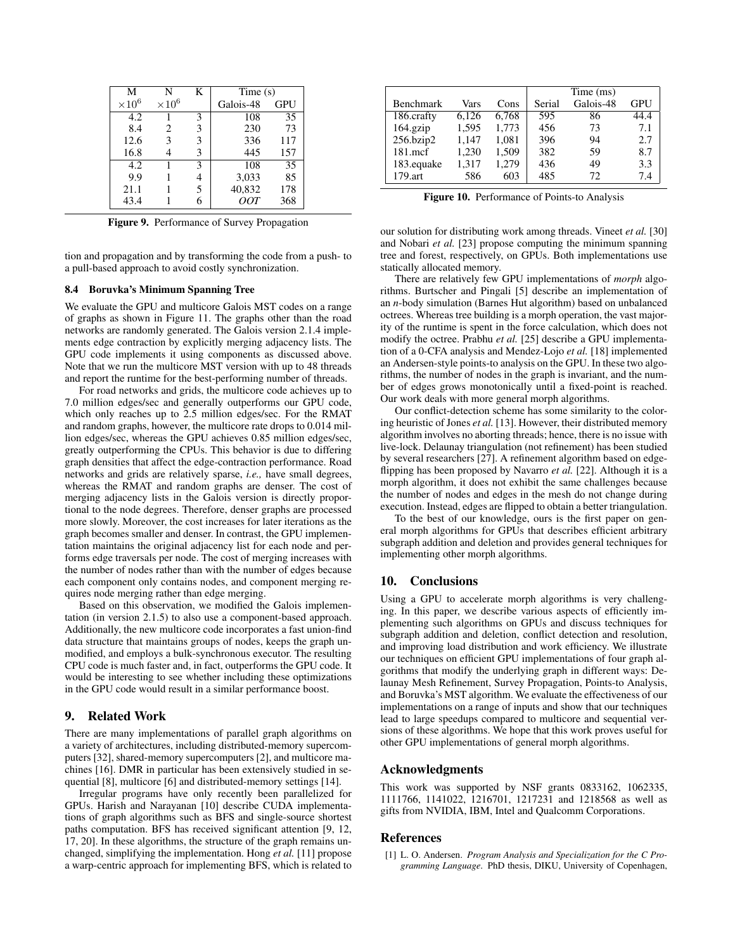| М             | N             | K | Time(s)   |     |  |
|---------------|---------------|---|-----------|-----|--|
| $\times 10^6$ | $\times 10^6$ |   | Galois-48 | GPU |  |
| 4.2           |               | 3 | 108       | 35  |  |
| 8.4           | 2             | 3 | 230       | 73  |  |
| 12.6          | 3             | 3 | 336       | 117 |  |
| 16.8          |               | 3 | 445       | 157 |  |
| 4.2           |               | 3 | 108       | 35  |  |
| 9.9           |               |   | 3,033     | 85  |  |
| 21.1          |               | 5 | 40,832    | 178 |  |
| 43.4          |               | 6 | OOT       | 368 |  |

Figure 9. Performance of Survey Propagation

tion and propagation and by transforming the code from a push- to a pull-based approach to avoid costly synchronization.

#### 8.4 Boruvka's Minimum Spanning Tree

We evaluate the GPU and multicore Galois MST codes on a range of graphs as shown in Figure 11. The graphs other than the road networks are randomly generated. The Galois version 2.1.4 implements edge contraction by explicitly merging adjacency lists. The GPU code implements it using components as discussed above. Note that we run the multicore MST version with up to 48 threads and report the runtime for the best-performing number of threads.

For road networks and grids, the multicore code achieves up to 7.0 million edges/sec and generally outperforms our GPU code, which only reaches up to 2.5 million edges/sec. For the RMAT and random graphs, however, the multicore rate drops to 0.014 million edges/sec, whereas the GPU achieves 0.85 million edges/sec, greatly outperforming the CPUs. This behavior is due to differing graph densities that affect the edge-contraction performance. Road networks and grids are relatively sparse, *i.e.,* have small degrees, whereas the RMAT and random graphs are denser. The cost of merging adjacency lists in the Galois version is directly proportional to the node degrees. Therefore, denser graphs are processed more slowly. Moreover, the cost increases for later iterations as the graph becomes smaller and denser. In contrast, the GPU implementation maintains the original adjacency list for each node and performs edge traversals per node. The cost of merging increases with the number of nodes rather than with the number of edges because each component only contains nodes, and component merging requires node merging rather than edge merging.

Based on this observation, we modified the Galois implementation (in version 2.1.5) to also use a component-based approach. Additionally, the new multicore code incorporates a fast union-find data structure that maintains groups of nodes, keeps the graph unmodified, and employs a bulk-synchronous executor. The resulting CPU code is much faster and, in fact, outperforms the GPU code. It would be interesting to see whether including these optimizations in the GPU code would result in a similar performance boost.

#### 9. Related Work

There are many implementations of parallel graph algorithms on a variety of architectures, including distributed-memory supercomputers [32], shared-memory supercomputers [2], and multicore machines [16]. DMR in particular has been extensively studied in sequential [8], multicore [6] and distributed-memory settings [14].

Irregular programs have only recently been parallelized for GPUs. Harish and Narayanan [10] describe CUDA implementations of graph algorithms such as BFS and single-source shortest paths computation. BFS has received significant attention [9, 12, 17, 20]. In these algorithms, the structure of the graph remains unchanged, simplifying the implementation. Hong *et al.* [11] propose a warp-centric approach for implementing BFS, which is related to

|             |       |       | Time (ms) |           |      |
|-------------|-------|-------|-----------|-----------|------|
| Benchmark   | Vars  | Cons  | Serial    | Galois-48 | GPU  |
| 186.crafty  | 6.126 | 6.768 | 595       | 86        | 44.4 |
| $164$ .gzip | 1,595 | 1,773 | 456       | 73        | 7.1  |
| 256.bzip2   | 1,147 | 1,081 | 396       | 94        | 2.7  |
| $181$ .mcf  | 1,230 | 1,509 | 382       | 59        | 8.7  |
| 183.equake  | 1,317 | 1,279 | 436       | 49        | 3.3  |
| $179.$ art  | 586   | 603   | 485       | 72        | 7.4  |

Figure 10. Performance of Points-to Analysis

our solution for distributing work among threads. Vineet *et al.* [30] and Nobari *et al.* [23] propose computing the minimum spanning tree and forest, respectively, on GPUs. Both implementations use statically allocated memory.

There are relatively few GPU implementations of *morph* algorithms. Burtscher and Pingali [5] describe an implementation of an *n*-body simulation (Barnes Hut algorithm) based on unbalanced octrees. Whereas tree building is a morph operation, the vast majority of the runtime is spent in the force calculation, which does not modify the octree. Prabhu *et al.* [25] describe a GPU implementation of a 0-CFA analysis and Mendez-Lojo *et al.* [18] implemented an Andersen-style points-to analysis on the GPU. In these two algorithms, the number of nodes in the graph is invariant, and the number of edges grows monotonically until a fixed-point is reached. Our work deals with more general morph algorithms.

Our conflict-detection scheme has some similarity to the coloring heuristic of Jones *et al.* [13]. However, their distributed memory algorithm involves no aborting threads; hence, there is no issue with live-lock. Delaunay triangulation (not refinement) has been studied by several researchers [27]. A refinement algorithm based on edgeflipping has been proposed by Navarro *et al.* [22]. Although it is a morph algorithm, it does not exhibit the same challenges because the number of nodes and edges in the mesh do not change during execution. Instead, edges are flipped to obtain a better triangulation.

To the best of our knowledge, ours is the first paper on general morph algorithms for GPUs that describes efficient arbitrary subgraph addition and deletion and provides general techniques for implementing other morph algorithms.

# 10. Conclusions

Using a GPU to accelerate morph algorithms is very challenging. In this paper, we describe various aspects of efficiently implementing such algorithms on GPUs and discuss techniques for subgraph addition and deletion, conflict detection and resolution, and improving load distribution and work efficiency. We illustrate our techniques on efficient GPU implementations of four graph algorithms that modify the underlying graph in different ways: Delaunay Mesh Refinement, Survey Propagation, Points-to Analysis, and Boruvka's MST algorithm. We evaluate the effectiveness of our implementations on a range of inputs and show that our techniques lead to large speedups compared to multicore and sequential versions of these algorithms. We hope that this work proves useful for other GPU implementations of general morph algorithms.

# Acknowledgments

This work was supported by NSF grants 0833162, 1062335, 1111766, 1141022, 1216701, 1217231 and 1218568 as well as gifts from NVIDIA, IBM, Intel and Qualcomm Corporations.

#### References

[1] L. O. Andersen. *Program Analysis and Specialization for the C Programming Language*. PhD thesis, DIKU, University of Copenhagen,